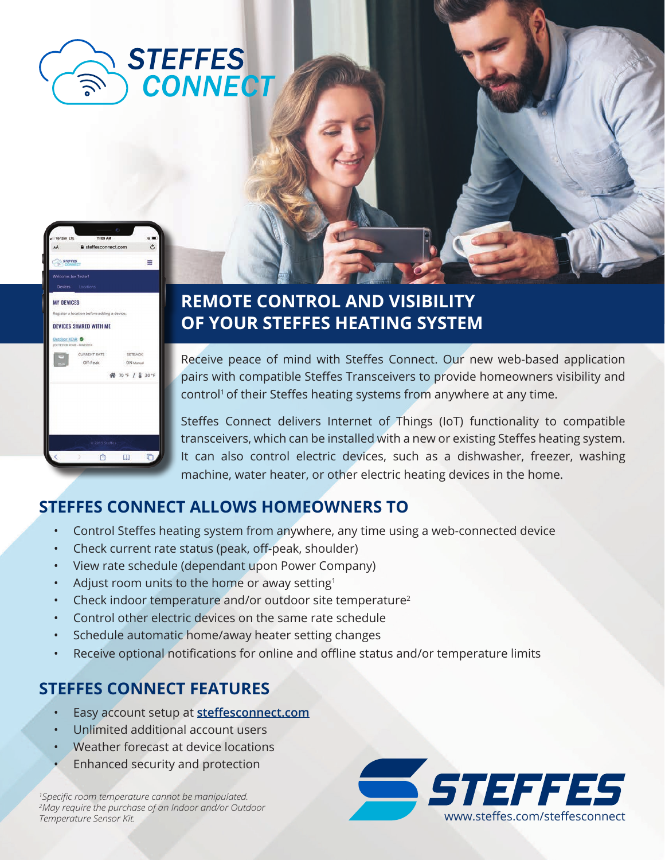



# **REMOTE CONTROL AND VISIBILITY OF YOUR STEFFES HEATING SYSTEM**

Receive peace of mind with Steffes Connect. Our new web-based application pairs with compatible Steffes Transceivers to provide homeowners visibility and control<sup>1</sup> of their Steffes heating systems from anywhere at any time.

Steffes Connect delivers Internet of Things (IoT) functionality to compatible transceivers, which can be installed with a new or existing Steffes heating system. It can also control electric devices, such as a dishwasher, freezer, washing machine, water heater, or other electric heating devices in the home.

### **STEFFES CONNECT ALLOWS HOMEOWNERS TO**

- Control Steffes heating system from anywhere, any time using a web-connected device
- Check current rate status (peak, off-peak, shoulder)
- View rate schedule (dependant upon Power Company)
- Adjust room units to the home or away setting<sup>1</sup>
- Check indoor temperature and/or outdoor site temperature<sup>2</sup>
- Control other electric devices on the same rate schedule
- Schedule automatic home/away heater setting changes
- Receive optional notifications for online and offline status and/or temperature limits

### **STEFFES CONNECT FEATURES**

- Easy account setup at **steffesconnect.com**
- Unlimited additional account users
- Weather forecast at device locations
- Enhanced security and protection

*1 Specific room temperature cannot be manipulated. 2 May require the purchase of an Indoor and/or Outdoor*